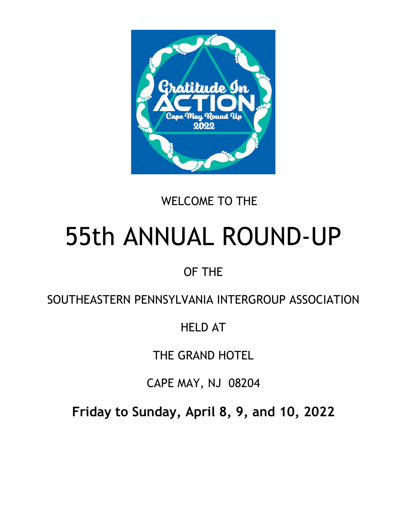

# WELCOME TO THE

# 55th ANNUAL ROUND-UP

# OF THE

# SOUTHEASTERN PENNSYLVANIA INTERGROUP ASSOCIATION

# HELD AT

THE GRAND HOTEL

CAPE MAY, NJ 08204

**Friday to Sunday, April 8, 9, and 10, 2022**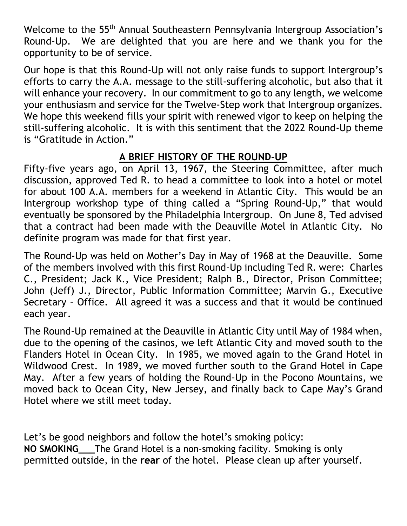Welcome to the 55<sup>th</sup> Annual Southeastern Pennsylvania Intergroup Association's Round-Up. We are delighted that you are here and we thank you for the opportunity to be of service.

Our hope is that this Round-Up will not only raise funds to support Intergroup's efforts to carry the A.A. message to the still-suffering alcoholic, but also that it will enhance your recovery. In our commitment to go to any length, we welcome your enthusiasm and service for the Twelve-Step work that Intergroup organizes. We hope this weekend fills your spirit with renewed vigor to keep on helping the still-suffering alcoholic. It is with this sentiment that the 2022 Round-Up theme is "Gratitude in Action."

#### **A BRIEF HISTORY OF THE ROUND-UP**

Fifty-five years ago, on April 13, 1967, the Steering Committee, after much discussion, approved Ted R. to head a committee to look into a hotel or motel for about 100 A.A. members for a weekend in Atlantic City. This would be an Intergroup workshop type of thing called a "Spring Round-Up," that would eventually be sponsored by the Philadelphia Intergroup. On June 8, Ted advised that a contract had been made with the Deauville Motel in Atlantic City. No definite program was made for that first year.

The Round-Up was held on Mother's Day in May of 1968 at the Deauville. Some of the members involved with this first Round-Up including Ted R. were: Charles C., President; Jack K., Vice President; Ralph B., Director, Prison Committee; John (Jeff) J., Director, Public Information Committee; Marvin G., Executive Secretary – Office. All agreed it was a success and that it would be continued each year.

The Round-Up remained at the Deauville in Atlantic City until May of 1984 when, due to the opening of the casinos, we left Atlantic City and moved south to the Flanders Hotel in Ocean City. In 1985, we moved again to the Grand Hotel in Wildwood Crest. In 1989, we moved further south to the Grand Hotel in Cape May. After a few years of holding the Round-Up in the Pocono Mountains, we moved back to Ocean City, New Jersey, and finally back to Cape May's Grand Hotel where we still meet today.

Let's be good neighbors and follow the hotel's smoking policy: **NO SMOKING\_\_\_**The Grand Hotel is a non-smoking facility. Smoking is only permitted outside, in the **rear** of the hotel. Please clean up after yourself.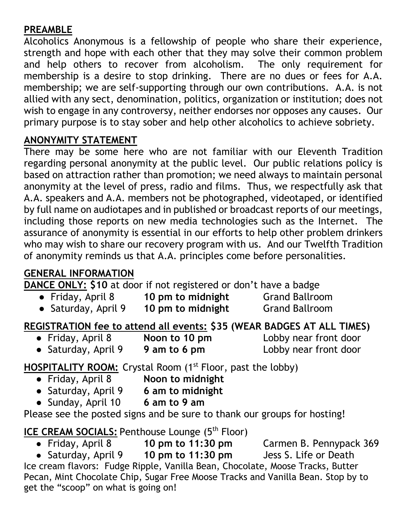#### **PREAMBLE**

Alcoholics Anonymous is a fellowship of people who share their experience, strength and hope with each other that they may solve their common problem and help others to recover from alcoholism. The only requirement for membership is a desire to stop drinking. There are no dues or fees for A.A. membership; we are self-supporting through our own contributions. A.A. is not allied with any sect, denomination, politics, organization or institution; does not wish to engage in any controversy, neither endorses nor opposes any causes. Our primary purpose is to stay sober and help other alcoholics to achieve sobriety.

#### **ANONYMITY STATEMENT**

There may be some here who are not familiar with our Eleventh Tradition regarding personal anonymity at the public level. Our public relations policy is based on attraction rather than promotion; we need always to maintain personal anonymity at the level of press, radio and films. Thus, we respectfully ask that A.A. speakers and A.A. members not be photographed, videotaped, or identified by full name on audiotapes and in published or broadcast reports of our meetings, including those reports on new media technologies such as the Internet. The assurance of anonymity is essential in our efforts to help other problem drinkers who may wish to share our recovery program with us. And our Twelfth Tradition of anonymity reminds us that A.A. principles come before personalities.

#### **GENERAL INFORMATION**

**DANCE ONLY: \$10** at door if not registered or don't have a badge

● Friday, April 8 **10 pm to midnight** Grand Ballroom ● Saturday, April 9 **10 pm to midnight** Grand Ballroom

**REGISTRATION fee to attend all events: \$35 (WEAR BADGES AT ALL TIMES)**<br>• Friday, April 8 **Noon to 10 pm** Lobby near front door

- 
- Noon to 10 pm<br>
Lobby near front door
- Saturday, April 9 **9 am to 6 pm** Lobby near front door

**HOSPITALITY ROOM:** Crystal Room (1<sup>st</sup> Floor, past the lobby)

- Friday, April 8 **Noon to midnight**
- Saturday, April 9 **6 am to midnight**
- Sunday, April 10 **6 am to 9 am**

Please see the posted signs and be sure to thank our groups for hosting!

#### **ICE CREAM SOCIALS:** Penthouse Lounge (5<sup>th</sup> Floor)

● Friday, April 8 **10 pm to 11:30 pm** Carmen B. Pennypack 369 ● Saturday, April 9 **10 pm to 11:30 pm** Jess S. Life or Death Ice cream flavors: Fudge Ripple, Vanilla Bean, Chocolate, Moose Tracks, Butter Pecan, Mint Chocolate Chip, Sugar Free Moose Tracks and Vanilla Bean. Stop by to get the "scoop" on what is going on!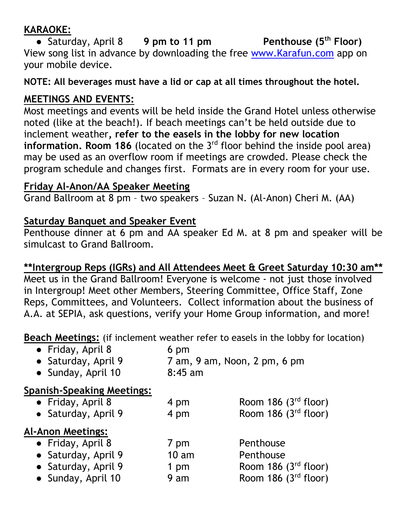#### **KARAOKE:**

● Saturday, April 8 **9 pm to 11 pm Penthouse (5th Floor)** View song list in advance by downloading the free [www.Karafun.com](http://www.karafun.com/) app on your mobile device.

**NOTE: All beverages must have a lid or cap at all times throughout the hotel.**

#### **MEETINGS AND EVENTS:**

Most meetings and events will be held inside the Grand Hotel unless otherwise noted (like at the beach!). If beach meetings can't be held outside due to inclement weather**, refer to the easels in the lobby for new location information. Room 186** (located on the 3<sup>rd</sup> floor behind the inside pool area) may be used as an overflow room if meetings are crowded. Please check the program schedule and changes first. Formats are in every room for your use.

#### **Friday Al-Anon/AA Speaker Meeting**

Grand Ballroom at 8 pm – two speakers – Suzan N. (Al-Anon) Cheri M. (AA)

#### **Saturday Banquet and Speaker Event**

Penthouse dinner at 6 pm and AA speaker Ed M. at 8 pm and speaker will be simulcast to Grand Ballroom.

#### **\*\*Intergroup Reps (IGRs) and All Attendees Meet & Greet Saturday 10:30 am\*\***

Meet us in the Grand Ballroom! Everyone is welcome - not just those involved in Intergroup! Meet other Members, Steering Committee, Office Staff, Zone Reps, Committees, and Volunteers. Collect information about the business of A.A. at SEPIA, ask questions, verify your Home Group information, and more!

**Beach Meetings:** (if inclement weather refer to easels in the lobby for location)

● Friday, April 8 6 pm ● Saturday, April 9 7 am, 9 am, Noon, 2 pm, 6 pm ● Sunday, April 10 8:45 am

#### **Spanish-Speaking Meetings:**

| • Friday, April 8<br>• Saturday, April 9 | 4 pm<br>4 pm | Room 186 $(3rd$ floor)<br>Room 186 $(3rd$ floor) |
|------------------------------------------|--------------|--------------------------------------------------|
| <b>Al-Anon Meetings:</b>                 |              |                                                  |
| • Friday, April 8                        | 7 pm         | Penthouse                                        |
| • Saturday, April 9                      | 10 am        | Penthouse                                        |
| • Saturday, April 9                      | 1 pm         | Room 186 $(3rd$ floor)                           |
| • Sunday, April 10                       | 9 am         | Room 186 $(3rd$ floor)                           |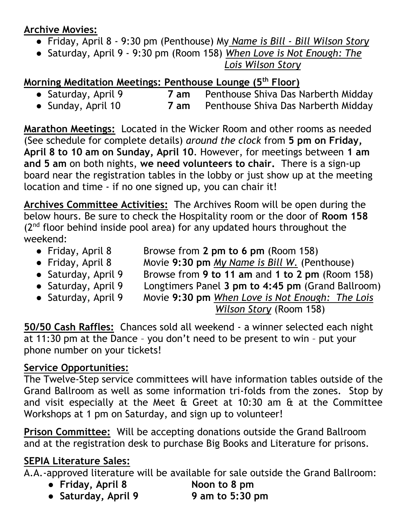#### **Archive Movies:**

- Friday, April 8 9:30 pm (Penthouse) My *Name is Bill - Bill Wilson Story*
- Saturday, April 9 9:30 pm (Room 158) *When Love is Not Enough: The*

 *Lois Wilson Story*

**Morning Meditation Meetings: Penthouse Lounge (5<sup>th</sup> Floor)<br>• Saturday, April 9 7 am Penthouse Shiva Das N** 7 am Penthouse Shiva Das Narberth Midday

● Sunday, April 10 **7 am** Penthouse Shiva Das Narberth Midday

**Marathon Meetings:** Located in the Wicker Room and other rooms as needed (See schedule for complete details) *around the clock* from **5 pm on Friday, April 8 to 10 am on Sunday, April 10**. However, for meetings between **1 am and 5 am** on both nights, **we need volunteers to chair.** There is a sign-up board near the registration tables in the lobby or just show up at the meeting location and time - if no one signed up, you can chair it!

**Archives Committee Activities:** The Archives Room will be open during the below hours. Be sure to check the Hospitality room or the door of **Room 158**  $(2^{nd}$  floor behind inside pool area) for any updated hours throughout the weekend:

- 
- Friday, April 8 Browse from **2 pm to 6 pm** (Room 158)
- Friday, April 8 Movie **9:30 pm** *My Name is Bill W.* (Penthouse)
- 
- 
- 
- Saturday, April 9 Browse from **9 to 11 am** and **1 to 2 pm** (Room 158) ● Saturday, April 9 Longtimers Panel **3 pm to 4:45 pm** (Grand Ballroom) ● Saturday, April 9 Movie **9:30 pm** *When Love is Not Enough: The Lois*

*Wilson Story* (Room 158)

**50/50 Cash Raffles:** Chances sold all weekend - a winner selected each night at 11:30 pm at the Dance – you don't need to be present to win – put your phone number on your tickets!

#### **Service Opportunities:**

The Twelve-Step service committees will have information tables outside of the Grand Ballroom as well as some information tri-folds from the zones. Stop by and visit especially at the Meet & Greet at 10:30 am & at the Committee Workshops at 1 pm on Saturday, and sign up to volunteer!

**Prison Committee:** Will be accepting donations outside the Grand Ballroom and at the registration desk to purchase Big Books and Literature for prisons.

### **SEPIA Literature Sales:**

A.A.-approved literature will be available for sale outside the Grand Ballroom:

- **Friday, April 8 Noon to 8 pm**
- **Saturday, April 9 9 am to 5:30 pm**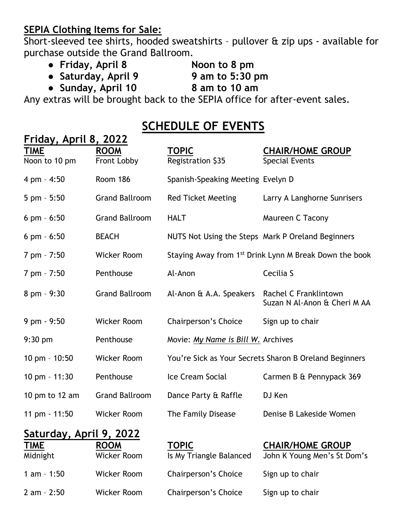#### **SEPIA Clothing Items for Sale:**

Short-sleeved tee shirts, hooded sweatshirts – pullover & zip ups - available for purchase outside the Grand Ballroom.

- **Friday, April 8 Noon to 8 pm**
- **Saturday, April 9 9 am to 5:30 pm**
- -
- **Sunday, April 10 8 am to 10 am**

Any extras will be brought back to the SEPIA office for after-event sales.

## **SCHEDULE OF EVENTS**

| Friday, April 8, 2022           |                       |                                    |                                                                    |
|---------------------------------|-----------------------|------------------------------------|--------------------------------------------------------------------|
| <b>TIME</b>                     | <b>ROOM</b>           | <b>TOPIC</b>                       | <b>CHAIR/HOME GROUP</b>                                            |
| Noon to 10 pm                   | Front Lobby           | Registration \$35                  | <b>Special Events</b>                                              |
| 4 pm - 4:50                     | Room 186              | Spanish-Speaking Meeting Evelyn D  |                                                                    |
| $5 \text{ pm} - 5:50$           | <b>Grand Ballroom</b> | <b>Red Ticket Meeting</b>          | Larry A Langhorne Sunrisers                                        |
| $6$ pm $-6:50$                  | <b>Grand Ballroom</b> | <b>HALT</b>                        | Maureen C Tacony                                                   |
| $6$ pm $-6:50$                  | <b>BEACH</b>          |                                    | NUTS Not Using the Steps Mark P Oreland Beginners                  |
| 7 pm - 7:50                     | <b>Wicker Room</b>    |                                    | Staying Away from 1 <sup>st</sup> Drink Lynn M Break Down the book |
| 7 pm - 7:50                     | Penthouse             | Al-Anon                            | Cecilia S                                                          |
| 8 pm - 9:30                     | <b>Grand Ballroom</b> | Al-Anon & A.A. Speakers            | Rachel C Franklintown<br>Suzan N Al-Anon & Cheri M AA              |
| 9 pm - 9:50                     | <b>Wicker Room</b>    | Chairperson's Choice               | Sign up to chair                                                   |
| $9:30$ pm                       | Penthouse             | Movie: My Name is Bill W. Archives |                                                                    |
| 10 pm $-$ 10:50                 | <b>Wicker Room</b>    |                                    | You're Sick as Your Secrets Sharon B Oreland Beginners             |
| 10 pm - 11:30                   | Penthouse             | Ice Cream Social                   | Carmen B & Pennypack 369                                           |
| 10 pm to 12 $am$                | <b>Grand Ballroom</b> | Dance Party & Raffle               | DJ Ken                                                             |
| 11 pm - 11:50                   | <b>Wicker Room</b>    | The Family Disease                 | Denise B Lakeside Women                                            |
| Saturday, April 9, 2022<br>TIME | ווחחם                 | חחחד                               | CUAID/UOME CDOIID                                                  |

| <u>TIME</u>  | <b>ROOM</b> | <b>TOPIC</b>            | <b>CHAIR/HOME GROUP</b>     |
|--------------|-------------|-------------------------|-----------------------------|
| Midnight     | Wicker Room | Is My Triangle Balanced | John K Young Men's St Dom's |
| 1 am $-1:50$ | Wicker Room | Chairperson's Choice    | Sign up to chair            |
| 2 am - 2:50  | Wicker Room | Chairperson's Choice    | Sign up to chair            |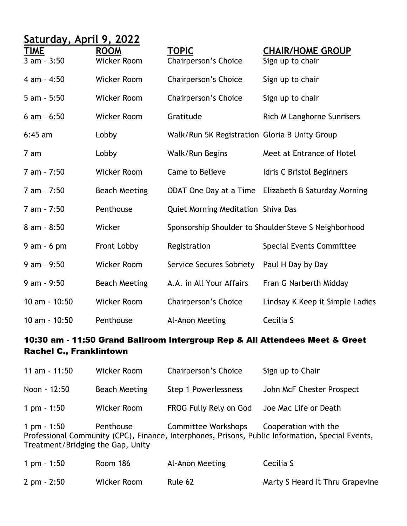| Saturday, April 9, 2022      |                                   |                                               |                                                       |
|------------------------------|-----------------------------------|-----------------------------------------------|-------------------------------------------------------|
| <b>TIME</b><br>$3 am - 3:50$ | <b>ROOM</b><br><b>Wicker Room</b> | <b>TOPIC</b><br>Chairperson's Choice          | <b>CHAIR/HOME GROUP</b><br>Sign up to chair           |
| 4 am - 4:50                  | <b>Wicker Room</b>                | Chairperson's Choice                          | Sign up to chair                                      |
| $5 am - 5:50$                | <b>Wicker Room</b>                | Chairperson's Choice                          | Sign up to chair                                      |
| $6$ am $-6:50$               | <b>Wicker Room</b>                | Gratitude                                     | Rich M Langhorne Sunrisers                            |
| $6:45$ am                    | Lobby                             | Walk/Run 5K Registration Gloria B Unity Group |                                                       |
| 7 am                         | Lobby                             | Walk/Run Begins                               | Meet at Entrance of Hotel                             |
| 7 am - 7:50                  | <b>Wicker Room</b>                | Came to Believe                               | Idris C Bristol Beginners                             |
| 7 am - 7:50                  | <b>Beach Meeting</b>              |                                               | ODAT One Day at a Time Elizabeth B Saturday Morning   |
| 7 am - 7:50                  | Penthouse                         | Quiet Morning Meditation Shiva Das            |                                                       |
| $8$ am - $8:50$              | Wicker                            |                                               | Sponsorship Shoulder to Shoulder Steve S Neighborhood |
| $9$ am - 6 pm                | Front Lobby                       | Registration                                  | <b>Special Events Committee</b>                       |
| $9$ am - $9:50$              | <b>Wicker Room</b>                | Service Secures Sobriety                      | Paul H Day by Day                                     |
| $9 am - 9:50$                | <b>Beach Meeting</b>              | A.A. in All Your Affairs                      | Fran G Narberth Midday                                |
| $10$ am $- 10:50$            | <b>Wicker Room</b>                | Chairperson's Choice                          | Lindsay K Keep it Simple Ladies                       |
| 10 am - 10:50                | Penthouse                         | Al-Anon Meeting                               | Cecilia S                                             |

#### 10:30 am - 11:50 Grand Ballroom Intergroup Rep & All Attendees Meet & Greet Rachel C., Franklintown

| 11 am $-11:50$                                                                                                                                                                                                   | Wicker Room   | Chairperson's Choice   | Sign up to Chair          |
|------------------------------------------------------------------------------------------------------------------------------------------------------------------------------------------------------------------|---------------|------------------------|---------------------------|
| Noon - 12:50                                                                                                                                                                                                     | Beach Meeting | Step 1 Powerlessness   | John McF Chester Prospect |
| 1 pm $-1:50$                                                                                                                                                                                                     | Wicker Room   | FROG Fully Rely on God | Joe Mac Life or Death     |
| Committee Workshops<br>Cooperation with the<br>1 pm - 1:50<br>Penthouse<br>Professional Community (CPC), Finance, Interphones, Prisons, Public Information, Special Events,<br>Treatment/Bridging the Gap, Unity |               |                        |                           |

| 1 pm $-1:50$          | Room 186    | Al-Anon Meeting | Cecilia S                       |
|-----------------------|-------------|-----------------|---------------------------------|
| $2 \text{ pm} - 2:50$ | Wicker Room | Rule 62         | Marty S Heard it Thru Grapevine |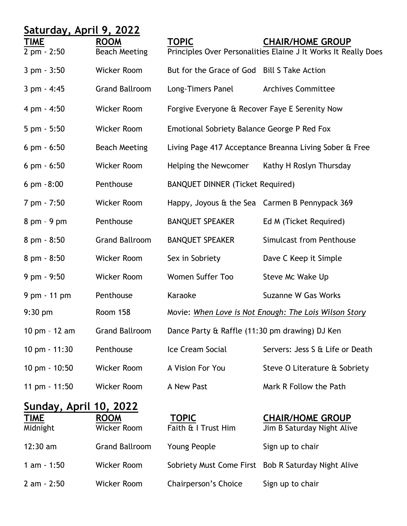| Saturday, April 9, 2022       |                                   |                                                |                                                                |
|-------------------------------|-----------------------------------|------------------------------------------------|----------------------------------------------------------------|
| <u>TIME</u>                   | <b>ROOM</b>                       | <b>TOPIC</b>                                   | <b>CHAIR/HOME GROUP</b>                                        |
| 2 pm - 2:50                   | <b>Beach Meeting</b>              |                                                | Principles Over Personalities Elaine J It Works It Really Does |
| 3 pm - 3:50                   | Wicker Room                       | But for the Grace of God Bill S Take Action    |                                                                |
| $3 pm - 4:45$                 | <b>Grand Ballroom</b>             | Long-Timers Panel                              | <b>Archives Committee</b>                                      |
| 4 pm - 4:50                   | <b>Wicker Room</b>                | Forgive Everyone & Recover Faye E Serenity Now |                                                                |
| $5 \text{ pm} - 5:50$         | <b>Wicker Room</b>                | Emotional Sobriety Balance George P Red Fox    |                                                                |
| $6 \text{ pm} - 6:50$         | <b>Beach Meeting</b>              |                                                | Living Page 417 Acceptance Breanna Living Sober & Free         |
| $6 \text{ pm} - 6:50$         | Wicker Room                       | Helping the Newcomer                           | Kathy H Roslyn Thursday                                        |
| $6 \text{ pm } -8:00$         | Penthouse                         | <b>BANQUET DINNER (Ticket Required)</b>        |                                                                |
| 7 pm - 7:50                   | Wicker Room                       |                                                | Happy, Joyous & the Sea Carmen B Pennypack 369                 |
| $8$ pm $-9$ pm                | Penthouse                         | <b>BANQUET SPEAKER</b>                         | Ed M (Ticket Required)                                         |
| 8 pm - 8:50                   | <b>Grand Ballroom</b>             | <b>BANQUET SPEAKER</b>                         | Simulcast from Penthouse                                       |
| 8 pm - 8:50                   | Wicker Room                       | Sex in Sobriety                                | Dave C Keep it Simple                                          |
| 9 pm - 9:50                   | <b>Wicker Room</b>                | Women Suffer Too                               | Steve Mc Wake Up                                               |
| 9 pm - 11 pm                  | Penthouse                         | Karaoke                                        | Suzanne W Gas Works                                            |
| $9:30$ pm                     | Room 158                          |                                                | Movie: When Love is Not Enough: The Lois Wilson Story          |
| 10 pm - 12 am                 | <b>Grand Ballroom</b>             | Dance Party & Raffle (11:30 pm drawing) DJ Ken |                                                                |
| 10 pm - 11:30                 | Penthouse                         | Ice Cream Social                               | Servers: Jess S & Life or Death                                |
| $10 \text{ pm} - 10:50$       | <b>Wicker Room</b>                | A Vision For You                               | Steve O Literature & Sobriety                                  |
| 11 pm $-11:50$                | Wicker Room                       | A New Past                                     | Mark R Follow the Path                                         |
| <u>Sunday, April 10, 2022</u> |                                   |                                                |                                                                |
| <u>TIME</u><br>Midnight       | <b>ROOM</b><br><b>Wicker Room</b> | <b>TOPIC</b><br>Faith & I Trust Him            | <b>CHAIR/HOME GROUP</b><br>Jim B Saturday Night Alive          |
| $12:30$ am                    | <b>Grand Ballroom</b>             | Young People                                   | Sign up to chair                                               |
| $1 am - 1:50$                 | <b>Wicker Room</b>                | Sobriety Must Come First                       | <b>Bob R Saturday Night Alive</b>                              |
| $2 am - 2:50$                 | <b>Wicker Room</b>                | Chairperson's Choice                           | Sign up to chair                                               |
|                               |                                   |                                                |                                                                |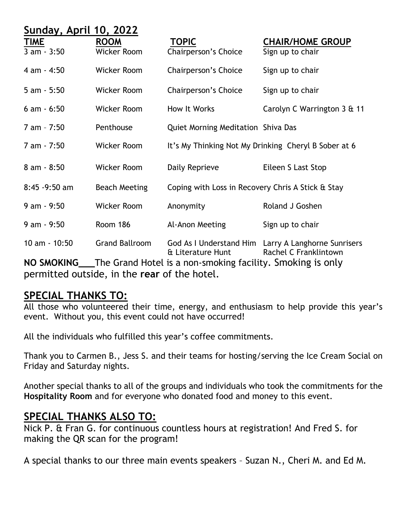| Sunday, April 10, 2022     |                                   |                                                            |                                                                              |
|----------------------------|-----------------------------------|------------------------------------------------------------|------------------------------------------------------------------------------|
| <b>TIME</b><br>3 am - 3:50 | <b>ROOM</b><br><b>Wicker Room</b> | <b>TOPIC</b><br>Chairperson's Choice                       | <b>CHAIR/HOME GROUP</b><br>Sign up to chair                                  |
| 4 am - 4:50                | <b>Wicker Room</b>                | Chairperson's Choice                                       | Sign up to chair                                                             |
| $5 am - 5:50$              | <b>Wicker Room</b>                | Chairperson's Choice                                       | Sign up to chair                                                             |
| $6$ am $-6:50$             | <b>Wicker Room</b>                | How It Works                                               | Carolyn C Warrington 3 & 11                                                  |
| 7 am - 7:50                | Penthouse                         | Quiet Morning Meditation Shiva Das                         |                                                                              |
| 7 am - 7:50                | <b>Wicker Room</b>                |                                                            | It's My Thinking Not My Drinking Cheryl B Sober at 6                         |
| $8 am - 8:50$              | <b>Wicker Room</b>                | Daily Reprieve                                             | Eileen S Last Stop                                                           |
|                            |                                   |                                                            |                                                                              |
| $8:45 - 9:50$ am           | <b>Beach Meeting</b>              | Coping with Loss in Recovery Chris A Stick & Stay          |                                                                              |
| $9 am - 9:50$              | Wicker Room                       | Anonymity                                                  | Roland J Goshen                                                              |
| $9 am - 9:50$              | Room 186                          | Al-Anon Meeting                                            | Sign up to chair                                                             |
| $10$ am $- 10:50$          | <b>Grand Ballroom</b>             | & Literature Hunt                                          | God As I Understand Him Larry A Langhorne Sunrisers<br>Rachel C Franklintown |
| <b>NO SMOKING</b>          |                                   | The Grand Hotel is a non-smoking facility. Smoking is only |                                                                              |

permitted outside, in the **rear** of the hotel.

#### **SPECIAL THANKS TO:**

All those who volunteered their time, energy, and enthusiasm to help provide this year's event. Without you, this event could not have occurred!

All the individuals who fulfilled this year's coffee commitments.

Thank you to Carmen B., Jess S. and their teams for hosting/serving the Ice Cream Social on Friday and Saturday nights.

Another special thanks to all of the groups and individuals who took the commitments for the **Hospitality Room** and for everyone who donated food and money to this event.

#### **SPECIAL THANKS ALSO TO:**

Nick P. & Fran G. for continuous countless hours at registration! And Fred S. for making the QR scan for the program!

A special thanks to our three main events speakers – Suzan N., Cheri M. and Ed M.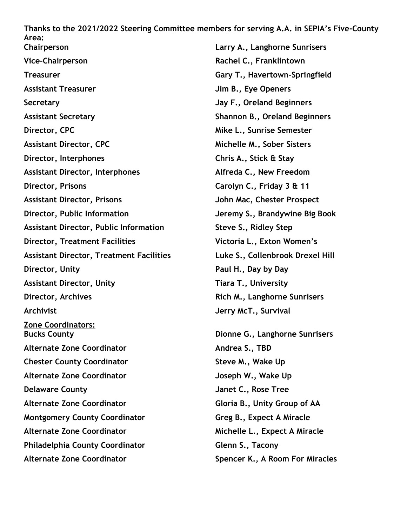**Thanks to the 2021/2022 Steering Committee members for serving A.A. in SEPIA's Five-County Area: Chairperson Larry A., Langhorne Sunrisers Vice-Chairperson Rachel C., Franklintown Treasurer Gary T., Havertown-Springfield Assistant Treasurer Jim B., Eye Openers Secretary Jay F., Oreland Beginners Assistant Secretary Shannon B., Oreland Beginners Director, CPC Mike L., Sunrise Semester Assistant Director, CPC Michelle M., Sober Sisters Director, Interphones Chris A., Stick & Stay Assistant Director, Interphones Alfreda C., New Freedom Director, Prisons Carolyn C., Friday 3 & 11 Assistant Director, Prisons John Mac, Chester Prospect Director, Public Information Jeremy S., Brandywine Big Book Assistant Director, Public Information Steve S., Ridley Step Director, Treatment Facilities Victoria L., Exton Women's Assistant Director, Treatment Facilities Luke S., Collenbrook Drexel Hill Director, Unity Paul H., Day by Day Assistant Director, Unity Tiara T., University Director, Archives Rich M., Langhorne Sunrisers Archivist Jerry McT., Survival Zone Coordinators: Bucks County Dionne G., Langhorne Sunrisers Alternate Zone Coordinator Andrea S., TBD Chester County Coordinator Steve M., Wake Up Alternate Zone Coordinator Joseph W., Wake Up Delaware County Janet C., Rose Tree Alternate Zone Coordinator Gloria B., Unity Group of AA Montgomery County Coordinator Greg B., Expect A Miracle Alternate Zone Coordinator Michelle L., Expect A Miracle Philadelphia County Coordinator Glenn S., Tacony**

**Alternate Zone Coordinator Spencer K., A Room For Miracles**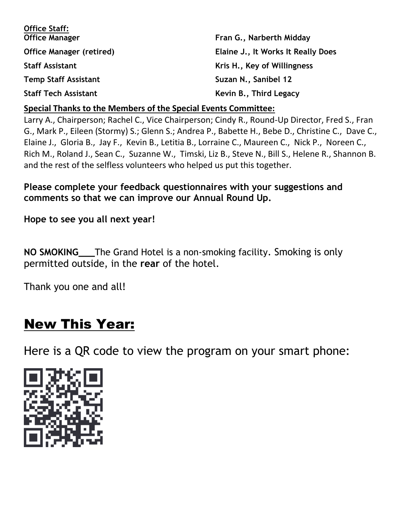| <b>Office Staff:</b>            |                                    |
|---------------------------------|------------------------------------|
| <b>Office Manager</b>           | Fran G., Narberth Midday           |
| <b>Office Manager (retired)</b> | Elaine J., It Works It Really Does |
| <b>Staff Assistant</b>          | Kris H., Key of Willingness        |
| <b>Temp Staff Assistant</b>     | Suzan N., Sanibel 12               |
| <b>Staff Tech Assistant</b>     | Kevin B., Third Legacy             |

#### **Special Thanks to the Members of the Special Events Committee:**

Larry A., Chairperson; Rachel C., Vice Chairperson; Cindy R., Round-Up Director, Fred S., Fran G., Mark P., Eileen (Stormy) S.; Glenn S.; Andrea P., Babette H., Bebe D., Christine C., Dave C., Elaine J., Gloria B., Jay F., Kevin B., Letitia B., Lorraine C., Maureen C., Nick P., Noreen C., Rich M., Roland J., Sean C., Suzanne W., Timski, Liz B., Steve N., Bill S., Helene R., Shannon B. and the rest of the selfless volunteers who helped us put this together.

**Please complete your feedback questionnaires with your suggestions and comments so that we can improve our Annual Round Up.**

**Hope to see you all next year!** 

**NO SMOKING\_\_\_**The Grand Hotel is a non-smoking facility. Smoking is only permitted outside, in the **rear** of the hotel.

Thank you one and all!

# New This Year:

Here is a QR code to view the program on your smart phone: